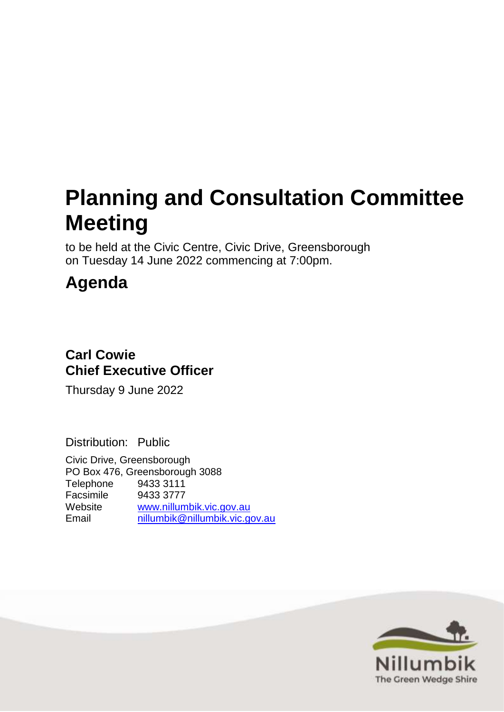# **Planning and Consultation Committee Meeting**

to be held at the Civic Centre, Civic Drive, Greensborough on Tuesday 14 June 2022 commencing at 7:00pm.

## **Agenda**

## **Carl Cowie Chief Executive Officer**

Thursday 9 June 2022

Distribution: Public

Civic Drive, Greensborough PO Box 476, Greensborough 3088 Telephone 9433 3111 Facsimile 9433 3777 Website <u>[www.nillumbik.vic.gov.au](http://www.nillumbik.vic.gov.au/)</u> [nillumbik@nillumbik.vic.gov.au](mailto:nillumbik@nillumbik.vic.gov.au)

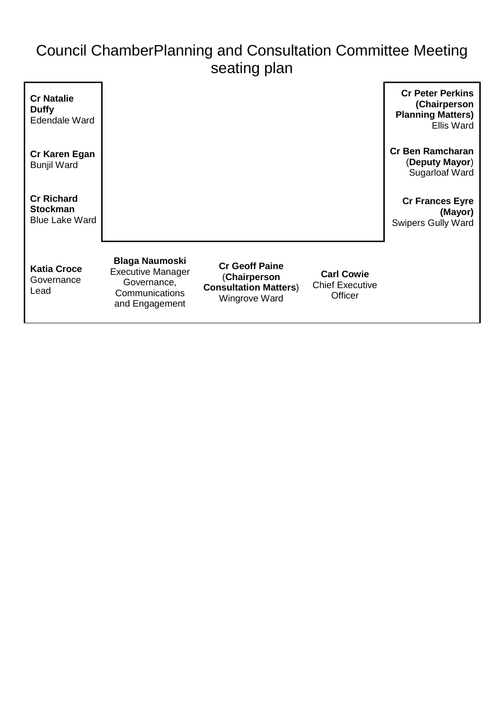## Council ChamberPlanning and Consultation Committee Meeting seating plan

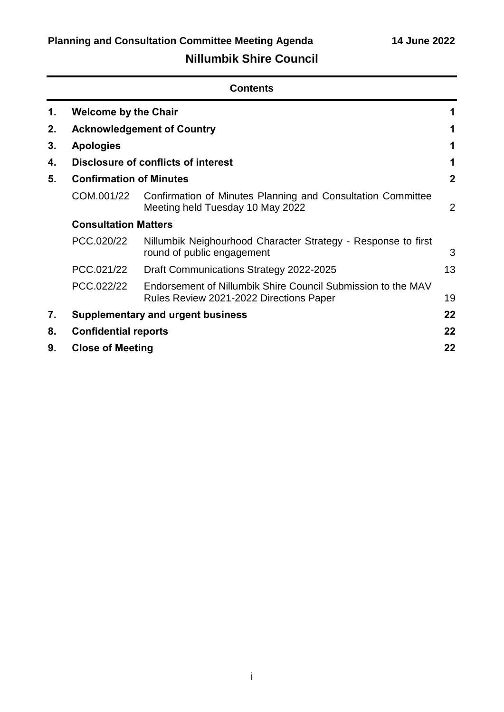### **Nillumbik Shire Council**

|    | <b>Contents</b>                |                                                                                                         |              |  |
|----|--------------------------------|---------------------------------------------------------------------------------------------------------|--------------|--|
| 1. | <b>Welcome by the Chair</b>    |                                                                                                         | 1            |  |
| 2. |                                | <b>Acknowledgement of Country</b>                                                                       | 1            |  |
| 3. | <b>Apologies</b>               |                                                                                                         | 1            |  |
| 4. |                                | Disclosure of conflicts of interest                                                                     | 1            |  |
| 5. | <b>Confirmation of Minutes</b> |                                                                                                         | $\mathbf{2}$ |  |
|    | COM.001/22                     | Confirmation of Minutes Planning and Consultation Committee<br>Meeting held Tuesday 10 May 2022         | 2            |  |
|    | <b>Consultation Matters</b>    |                                                                                                         |              |  |
|    | PCC.020/22                     | Nillumbik Neighourhood Character Strategy - Response to first<br>round of public engagement             | 3            |  |
|    | PCC.021/22                     | Draft Communications Strategy 2022-2025                                                                 | 13           |  |
|    | PCC.022/22                     | Endorsement of Nillumbik Shire Council Submission to the MAV<br>Rules Review 2021-2022 Directions Paper | 19           |  |
| 7. |                                | <b>Supplementary and urgent business</b>                                                                | 22           |  |
| 8. | <b>Confidential reports</b>    |                                                                                                         | 22           |  |
| 9. | <b>Close of Meeting</b>        |                                                                                                         | 22           |  |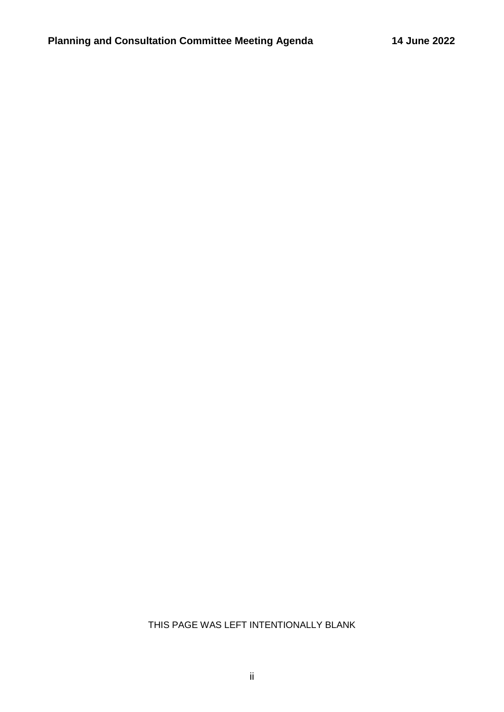#### THIS PAGE WAS LEFT INTENTIONALLY BLANK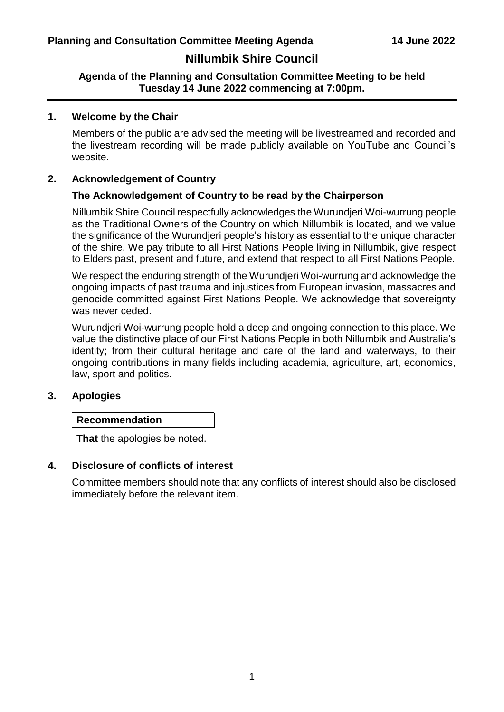#### **Nillumbik Shire Council**

#### **Agenda of the Planning and Consultation Committee Meeting to be held Tuesday 14 June 2022 commencing at 7:00pm.**

#### <span id="page-4-0"></span>**1. Welcome by the Chair**

Members of the public are advised the meeting will be livestreamed and recorded and the livestream recording will be made publicly available on YouTube and Council's website.

#### <span id="page-4-1"></span>**2. Acknowledgement of Country**

#### **The Acknowledgement of Country to be read by the Chairperson**

Nillumbik Shire Council respectfully acknowledges the Wurundjeri Woi-wurrung people as the Traditional Owners of the Country on which Nillumbik is located, and we value the significance of the Wurundjeri people's history as essential to the unique character of the shire. We pay tribute to all First Nations People living in Nillumbik, give respect to Elders past, present and future, and extend that respect to all First Nations People.

We respect the enduring strength of the Wurundjeri Woi-wurrung and acknowledge the ongoing impacts of past trauma and injustices from European invasion, massacres and genocide committed against First Nations People. We acknowledge that sovereignty was never ceded.

Wurundjeri Woi-wurrung people hold a deep and ongoing connection to this place. We value the distinctive place of our First Nations People in both Nillumbik and Australia's identity; from their cultural heritage and care of the land and waterways, to their ongoing contributions in many fields including academia, agriculture, art, economics, law, sport and politics.

#### <span id="page-4-2"></span>**3. Apologies**

#### **Recommendation**

**That** the apologies be noted.

#### <span id="page-4-3"></span>**4. Disclosure of conflicts of interest**

Committee members should note that any conflicts of interest should also be disclosed immediately before the relevant item.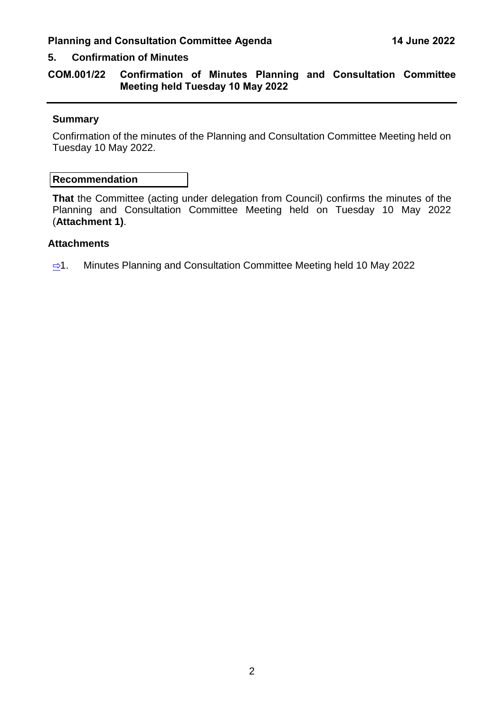#### <span id="page-5-0"></span>**5. Confirmation of Minutes**

#### <span id="page-5-1"></span>**COM.001/22 Confirmation of Minutes Planning and Consultation Committee Meeting held Tuesday 10 May 2022**

#### **Summary**

Confirmation of the minutes of the Planning and Consultation Committee Meeting held on Tuesday 10 May 2022.

#### **Recommendation**

**That** the Committee (acting under delegation from Council) confirms the minutes of the Planning and Consultation Committee Meeting held on Tuesday 10 May 2022 (**Attachment 1)**.

#### **Attachments**

[⇨](../../../RedirectToInvalidFileName.aspx?FileName=PCC_14062022_ATT_1193.PDF#PAGE=4)1. Minutes Planning and Consultation Committee Meeting held 10 May 2022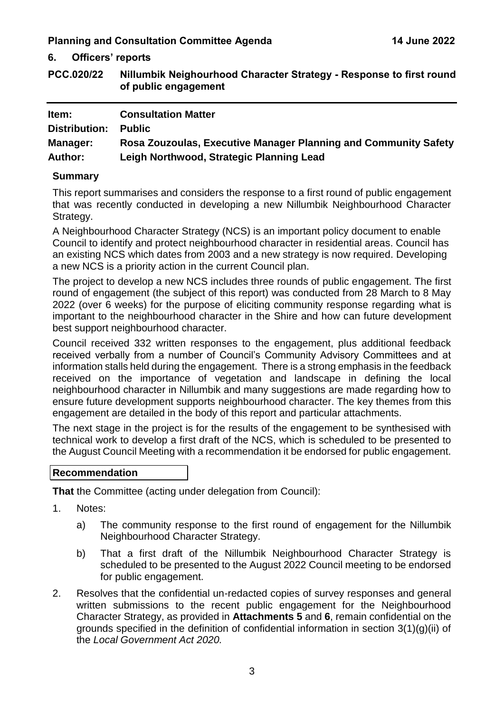#### <span id="page-6-0"></span>**6. Officers' reports**

<span id="page-6-1"></span>

| PCC.020/22 | Nillumbik Neighourhood Character Strategy - Response to first round |
|------------|---------------------------------------------------------------------|
|            | of public engagement                                                |

| Item:          | <b>Consultation Matter</b>                                      |
|----------------|-----------------------------------------------------------------|
| Distribution:  | <b>Public</b>                                                   |
| Manager:       | Rosa Zouzoulas, Executive Manager Planning and Community Safety |
| <b>Author:</b> | Leigh Northwood, Strategic Planning Lead                        |

#### **Summary**

This report summarises and considers the response to a first round of public engagement that was recently conducted in developing a new Nillumbik Neighbourhood Character Strategy.

A Neighbourhood Character Strategy (NCS) is an important policy document to enable Council to identify and protect neighbourhood character in residential areas. Council has an existing NCS which dates from 2003 and a new strategy is now required. Developing a new NCS is a priority action in the current Council plan.

The project to develop a new NCS includes three rounds of public engagement. The first round of engagement (the subject of this report) was conducted from 28 March to 8 May 2022 (over 6 weeks) for the purpose of eliciting community response regarding what is important to the neighbourhood character in the Shire and how can future development best support neighbourhood character.

Council received 332 written responses to the engagement, plus additional feedback received verbally from a number of Council's Community Advisory Committees and at information stalls held during the engagement. There is a strong emphasis in the feedback received on the importance of vegetation and landscape in defining the local neighbourhood character in Nillumbik and many suggestions are made regarding how to ensure future development supports neighbourhood character. The key themes from this engagement are detailed in the body of this report and particular attachments.

The next stage in the project is for the results of the engagement to be synthesised with technical work to develop a first draft of the NCS, which is scheduled to be presented to the August Council Meeting with a recommendation it be endorsed for public engagement.

#### **Recommendation**

**That** the Committee (acting under delegation from Council):

- 1. Notes:
	- a) The community response to the first round of engagement for the Nillumbik Neighbourhood Character Strategy.
	- b) That a first draft of the Nillumbik Neighbourhood Character Strategy is scheduled to be presented to the August 2022 Council meeting to be endorsed for public engagement.
- 2. Resolves that the confidential un-redacted copies of survey responses and general written submissions to the recent public engagement for the Neighbourhood Character Strategy, as provided in **Attachments 5** and **6**, remain confidential on the grounds specified in the definition of confidential information in section 3(1)(g)(ii) of the *Local Government Act 2020.*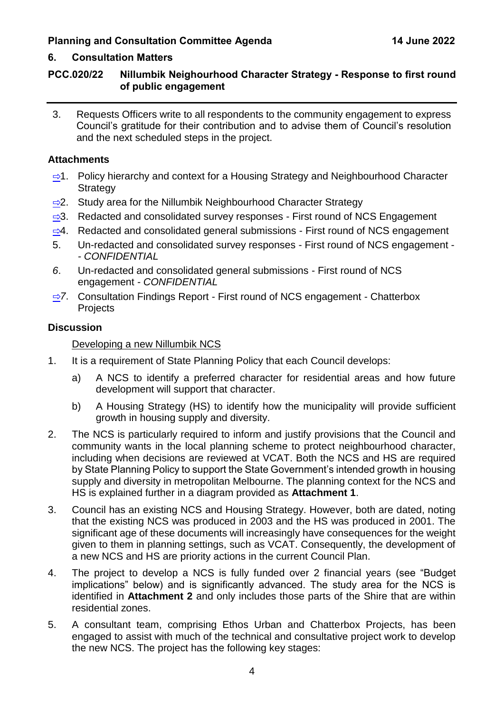#### **6. Consultation Matters**

#### **PCC.020/22 Nillumbik Neighourhood Character Strategy - Response to first round of public engagement**

3. Requests Officers write to all respondents to the community engagement to express Council's gratitude for their contribution and to advise them of Council's resolution and the next scheduled steps in the project.

#### **Attachments**

- [⇨](../../../RedirectToInvalidFileName.aspx?FileName=PCC_14062022_ATT_1193.PDF#PAGE=16)1. Policy hierarchy and context for a Housing Strategy and Neighbourhood Character **Strategy**
- [⇨](../../../RedirectToInvalidFileName.aspx?FileName=PCC_14062022_ATT_1193.PDF#PAGE=18)2. Study area for the Nillumbik Neighbourhood Character Strategy
- $\Rightarrow$ 3. Redacted and consolidated survey responses First round of NCS Engagement
- [⇨](../../../RedirectToInvalidFileName.aspx?FileName=PCC_14062022_ATT_1193.PDF#PAGE=150)4. Redacted and consolidated general submissions First round of NCS engagement
- 5. Un-redacted and consolidated survey responses First round of NCS engagement *- CONFIDENTIAL*
- *6*. Un-redacted and consolidated general submissions First round of NCS engagement *- CONFIDENTIAL*
- [⇨](../../../RedirectToInvalidFileName.aspx?FileName=PCC_14062022_ATT_1193.PDF#PAGE=224)*7*. Consultation Findings Report First round of NCS engagement Chatterbox Projects

#### **Discussion**

#### Developing a new Nillumbik NCS

- 1. It is a requirement of State Planning Policy that each Council develops:
	- a) A NCS to identify a preferred character for residential areas and how future development will support that character.
	- b) A Housing Strategy (HS) to identify how the municipality will provide sufficient growth in housing supply and diversity.
- 2. The NCS is particularly required to inform and justify provisions that the Council and community wants in the local planning scheme to protect neighbourhood character, including when decisions are reviewed at VCAT. Both the NCS and HS are required by State Planning Policy to support the State Government's intended growth in housing supply and diversity in metropolitan Melbourne. The planning context for the NCS and HS is explained further in a diagram provided as **Attachment 1**.
- 3. Council has an existing NCS and Housing Strategy. However, both are dated, noting that the existing NCS was produced in 2003 and the HS was produced in 2001. The significant age of these documents will increasingly have consequences for the weight given to them in planning settings, such as VCAT. Consequently, the development of a new NCS and HS are priority actions in the current Council Plan.
- 4. The project to develop a NCS is fully funded over 2 financial years (see "Budget implications" below) and is significantly advanced. The study area for the NCS is identified in **Attachment 2** and only includes those parts of the Shire that are within residential zones.
- 5. A consultant team, comprising Ethos Urban and Chatterbox Projects, has been engaged to assist with much of the technical and consultative project work to develop the new NCS. The project has the following key stages: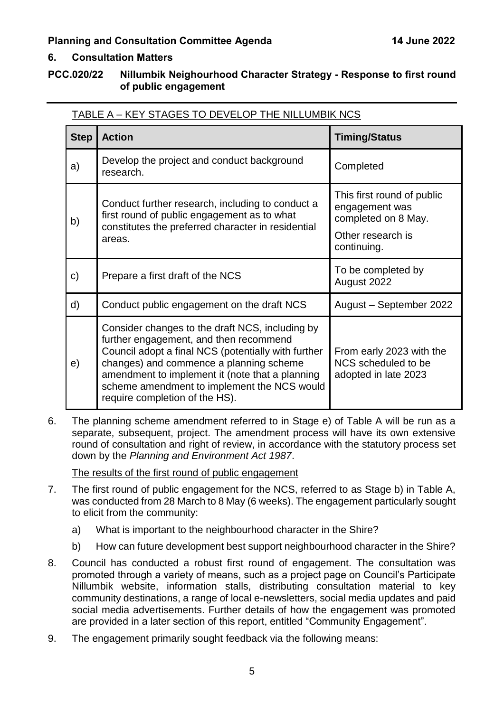#### **6. Consultation Matters**

#### **PCC.020/22 Nillumbik Neighourhood Character Strategy - Response to first round of public engagement**

| <b>Step</b> | <b>Action</b>                                                                                                                                                                                                                                                                                                                   | <b>Timing/Status</b>                                                                                    |
|-------------|---------------------------------------------------------------------------------------------------------------------------------------------------------------------------------------------------------------------------------------------------------------------------------------------------------------------------------|---------------------------------------------------------------------------------------------------------|
| a)          | Develop the project and conduct background<br>research.                                                                                                                                                                                                                                                                         | Completed                                                                                               |
| b)          | Conduct further research, including to conduct a<br>first round of public engagement as to what<br>constitutes the preferred character in residential<br>areas.                                                                                                                                                                 | This first round of public<br>engagement was<br>completed on 8 May.<br>Other research is<br>continuing. |
| C)          | Prepare a first draft of the NCS                                                                                                                                                                                                                                                                                                | To be completed by<br>August 2022                                                                       |
| d)          | Conduct public engagement on the draft NCS                                                                                                                                                                                                                                                                                      | August - September 2022                                                                                 |
| e)          | Consider changes to the draft NCS, including by<br>further engagement, and then recommend<br>Council adopt a final NCS (potentially with further<br>changes) and commence a planning scheme<br>amendment to implement it (note that a planning<br>scheme amendment to implement the NCS would<br>require completion of the HS). | From early 2023 with the<br>NCS scheduled to be<br>adopted in late 2023                                 |

#### TABLE A – KEY STAGES TO DEVELOP THE NILLUMBIK NCS

6. The planning scheme amendment referred to in Stage e) of Table A will be run as a separate, subsequent, project. The amendment process will have its own extensive round of consultation and right of review, in accordance with the statutory process set down by the *Planning and Environment Act 1987*.

The results of the first round of public engagement

- 7. The first round of public engagement for the NCS, referred to as Stage b) in Table A, was conducted from 28 March to 8 May (6 weeks). The engagement particularly sought to elicit from the community:
	- a) What is important to the neighbourhood character in the Shire?
	- b) How can future development best support neighbourhood character in the Shire?
- 8. Council has conducted a robust first round of engagement. The consultation was promoted through a variety of means, such as a project page on Council's Participate Nillumbik website, information stalls, distributing consultation material to key community destinations, a range of local e-newsletters, social media updates and paid social media advertisements. Further details of how the engagement was promoted are provided in a later section of this report, entitled "Community Engagement".
- 9. The engagement primarily sought feedback via the following means: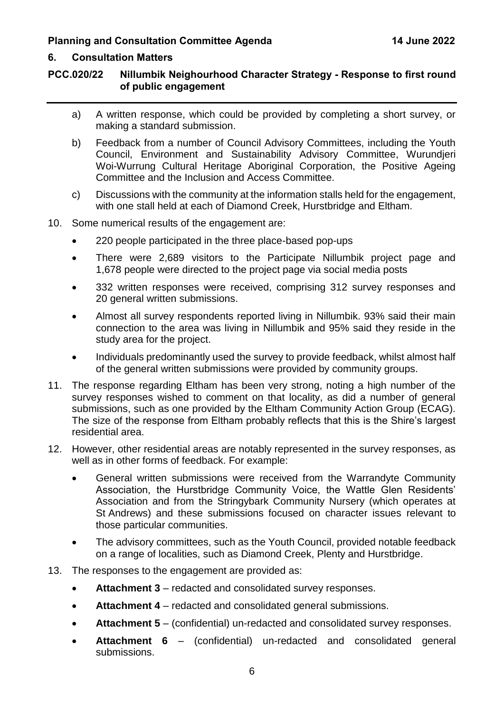#### **6. Consultation Matters**

#### **PCC.020/22 Nillumbik Neighourhood Character Strategy - Response to first round of public engagement**

- a) A written response, which could be provided by completing a short survey, or making a standard submission.
- b) Feedback from a number of Council Advisory Committees, including the Youth Council, Environment and Sustainability Advisory Committee, Wurundjeri Woi-Wurrung Cultural Heritage Aboriginal Corporation, the Positive Ageing Committee and the Inclusion and Access Committee.
- c) Discussions with the community at the information stalls held for the engagement, with one stall held at each of Diamond Creek, Hurstbridge and Eltham.

#### 10. Some numerical results of the engagement are:

- 220 people participated in the three place-based pop-ups
- There were 2,689 visitors to the Participate Nillumbik project page and 1,678 people were directed to the project page via social media posts
- 332 written responses were received, comprising 312 survey responses and 20 general written submissions.
- Almost all survey respondents reported living in Nillumbik. 93% said their main connection to the area was living in Nillumbik and 95% said they reside in the study area for the project.
- Individuals predominantly used the survey to provide feedback, whilst almost half of the general written submissions were provided by community groups.
- 11. The response regarding Eltham has been very strong, noting a high number of the survey responses wished to comment on that locality, as did a number of general submissions, such as one provided by the Eltham Community Action Group (ECAG). The size of the response from Eltham probably reflects that this is the Shire's largest residential area.
- 12. However, other residential areas are notably represented in the survey responses, as well as in other forms of feedback. For example:
	- General written submissions were received from the Warrandyte Community Association, the Hurstbridge Community Voice, the Wattle Glen Residents' Association and from the Stringybark Community Nursery (which operates at St Andrews) and these submissions focused on character issues relevant to those particular communities.
	- The advisory committees, such as the Youth Council, provided notable feedback on a range of localities, such as Diamond Creek, Plenty and Hurstbridge.
- 13. The responses to the engagement are provided as:
	- **Attachment 3** redacted and consolidated survey responses.
	- **Attachment 4** redacted and consolidated general submissions.
	- **Attachment 5** (confidential) un-redacted and consolidated survey responses.
	- **Attachment 6**  (confidential) un-redacted and consolidated general submissions.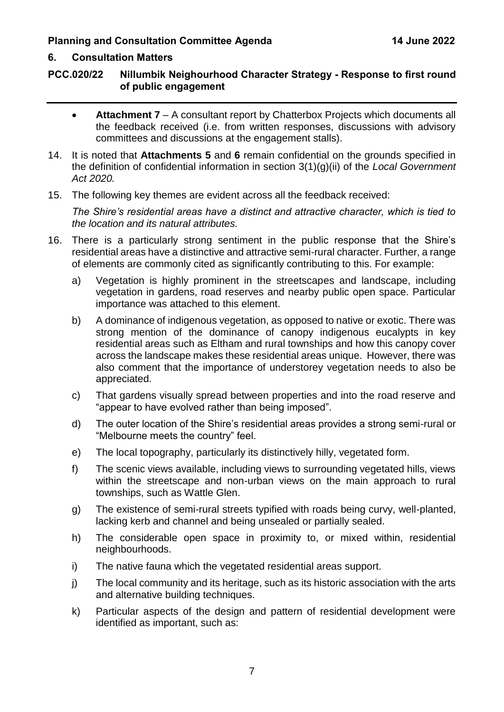#### **6. Consultation Matters**

#### **PCC.020/22 Nillumbik Neighourhood Character Strategy - Response to first round of public engagement**

- **Attachment 7** A consultant report by Chatterbox Projects which documents all the feedback received (i.e. from written responses, discussions with advisory committees and discussions at the engagement stalls).
- 14. It is noted that **Attachments 5** and **6** remain confidential on the grounds specified in the definition of confidential information in section 3(1)(g)(ii) of the *Local Government Act 2020.*
- 15. The following key themes are evident across all the feedback received:

*The Shire's residential areas have a distinct and attractive character, which is tied to the location and its natural attributes.*

- 16. There is a particularly strong sentiment in the public response that the Shire's residential areas have a distinctive and attractive semi-rural character. Further, a range of elements are commonly cited as significantly contributing to this. For example:
	- a) Vegetation is highly prominent in the streetscapes and landscape, including vegetation in gardens, road reserves and nearby public open space. Particular importance was attached to this element.
	- b) A dominance of indigenous vegetation, as opposed to native or exotic. There was strong mention of the dominance of canopy indigenous eucalypts in key residential areas such as Eltham and rural townships and how this canopy cover across the landscape makes these residential areas unique. However, there was also comment that the importance of understorey vegetation needs to also be appreciated.
	- c) That gardens visually spread between properties and into the road reserve and "appear to have evolved rather than being imposed".
	- d) The outer location of the Shire's residential areas provides a strong semi-rural or "Melbourne meets the country" feel.
	- e) The local topography, particularly its distinctively hilly, vegetated form.
	- f) The scenic views available, including views to surrounding vegetated hills, views within the streetscape and non-urban views on the main approach to rural townships, such as Wattle Glen.
	- g) The existence of semi-rural streets typified with roads being curvy, well-planted, lacking kerb and channel and being unsealed or partially sealed.
	- h) The considerable open space in proximity to, or mixed within, residential neighbourhoods.
	- i) The native fauna which the vegetated residential areas support.
	- j) The local community and its heritage, such as its historic association with the arts and alternative building techniques.
	- k) Particular aspects of the design and pattern of residential development were identified as important, such as: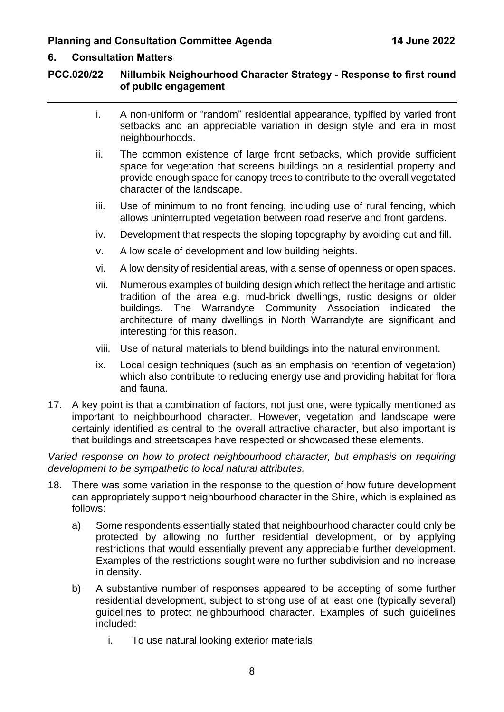#### **6. Consultation Matters**

#### **PCC.020/22 Nillumbik Neighourhood Character Strategy - Response to first round of public engagement**

- i. A non-uniform or "random" residential appearance, typified by varied front setbacks and an appreciable variation in design style and era in most neighbourhoods.
- ii. The common existence of large front setbacks, which provide sufficient space for vegetation that screens buildings on a residential property and provide enough space for canopy trees to contribute to the overall vegetated character of the landscape.
- iii. Use of minimum to no front fencing, including use of rural fencing, which allows uninterrupted vegetation between road reserve and front gardens.
- iv. Development that respects the sloping topography by avoiding cut and fill.
- v. A low scale of development and low building heights.
- vi. A low density of residential areas, with a sense of openness or open spaces.
- vii. Numerous examples of building design which reflect the heritage and artistic tradition of the area e.g. mud-brick dwellings, rustic designs or older buildings. The Warrandyte Community Association indicated the architecture of many dwellings in North Warrandyte are significant and interesting for this reason.
- viii. Use of natural materials to blend buildings into the natural environment.
- ix. Local design techniques (such as an emphasis on retention of vegetation) which also contribute to reducing energy use and providing habitat for flora and fauna.
- 17. A key point is that a combination of factors, not just one, were typically mentioned as important to neighbourhood character. However, vegetation and landscape were certainly identified as central to the overall attractive character, but also important is that buildings and streetscapes have respected or showcased these elements.

*Varied response on how to protect neighbourhood character, but emphasis on requiring development to be sympathetic to local natural attributes.*

- 18. There was some variation in the response to the question of how future development can appropriately support neighbourhood character in the Shire, which is explained as follows:
	- a) Some respondents essentially stated that neighbourhood character could only be protected by allowing no further residential development, or by applying restrictions that would essentially prevent any appreciable further development. Examples of the restrictions sought were no further subdivision and no increase in density.
	- b) A substantive number of responses appeared to be accepting of some further residential development, subject to strong use of at least one (typically several) guidelines to protect neighbourhood character. Examples of such guidelines included:
		- i. To use natural looking exterior materials.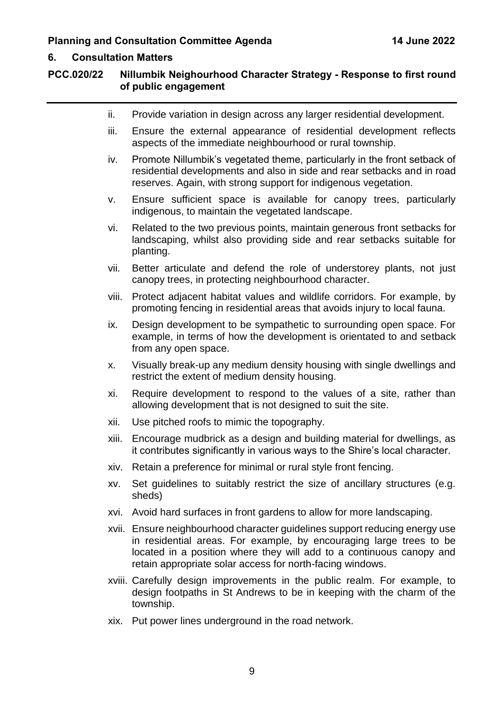#### **6. Consultation Matters**

#### **PCC.020/22 Nillumbik Neighourhood Character Strategy - Response to first round of public engagement**

- ii. Provide variation in design across any larger residential development.
- iii. Ensure the external appearance of residential development reflects aspects of the immediate neighbourhood or rural township.
- iv. Promote Nillumbik's vegetated theme, particularly in the front setback of residential developments and also in side and rear setbacks and in road reserves. Again, with strong support for indigenous vegetation.
- v. Ensure sufficient space is available for canopy trees, particularly indigenous, to maintain the vegetated landscape.
- vi. Related to the two previous points, maintain generous front setbacks for landscaping, whilst also providing side and rear setbacks suitable for planting.
- vii. Better articulate and defend the role of understorey plants, not just canopy trees, in protecting neighbourhood character.
- viii. Protect adjacent habitat values and wildlife corridors. For example, by promoting fencing in residential areas that avoids injury to local fauna.
- ix. Design development to be sympathetic to surrounding open space. For example, in terms of how the development is orientated to and setback from any open space.
- x. Visually break-up any medium density housing with single dwellings and restrict the extent of medium density housing.
- xi. Require development to respond to the values of a site, rather than allowing development that is not designed to suit the site.
- xii. Use pitched roofs to mimic the topography.
- xiii. Encourage mudbrick as a design and building material for dwellings, as it contributes significantly in various ways to the Shire's local character.
- xiv. Retain a preference for minimal or rural style front fencing.
- xv. Set guidelines to suitably restrict the size of ancillary structures (e.g. sheds)
- xvi. Avoid hard surfaces in front gardens to allow for more landscaping.
- xvii. Ensure neighbourhood character guidelines support reducing energy use in residential areas. For example, by encouraging large trees to be located in a position where they will add to a continuous canopy and retain appropriate solar access for north-facing windows.
- xviii. Carefully design improvements in the public realm. For example, to design footpaths in St Andrews to be in keeping with the charm of the township.
- xix. Put power lines underground in the road network.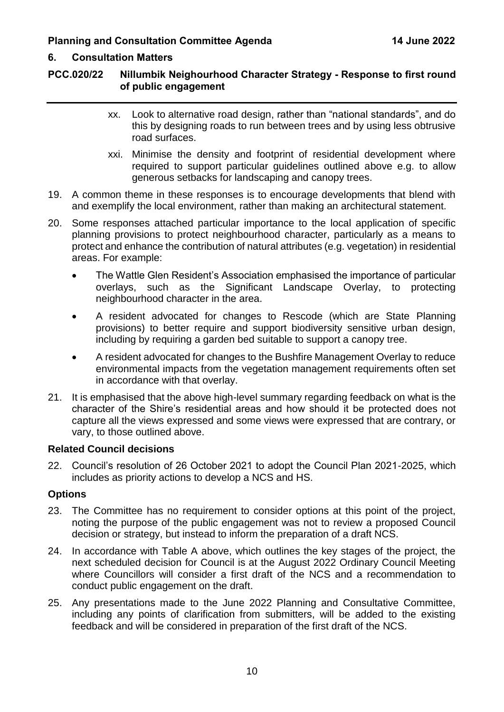#### **6. Consultation Matters**

#### **PCC.020/22 Nillumbik Neighourhood Character Strategy - Response to first round of public engagement**

- xx. Look to alternative road design, rather than "national standards", and do this by designing roads to run between trees and by using less obtrusive road surfaces.
- xxi. Minimise the density and footprint of residential development where required to support particular guidelines outlined above e.g. to allow generous setbacks for landscaping and canopy trees.
- 19. A common theme in these responses is to encourage developments that blend with and exemplify the local environment, rather than making an architectural statement.
- 20. Some responses attached particular importance to the local application of specific planning provisions to protect neighbourhood character, particularly as a means to protect and enhance the contribution of natural attributes (e.g. vegetation) in residential areas. For example:
	- The Wattle Glen Resident's Association emphasised the importance of particular overlays, such as the Significant Landscape Overlay, to protecting neighbourhood character in the area.
	- A resident advocated for changes to Rescode (which are State Planning provisions) to better require and support biodiversity sensitive urban design, including by requiring a garden bed suitable to support a canopy tree.
	- A resident advocated for changes to the Bushfire Management Overlay to reduce environmental impacts from the vegetation management requirements often set in accordance with that overlay.
- 21. It is emphasised that the above high-level summary regarding feedback on what is the character of the Shire's residential areas and how should it be protected does not capture all the views expressed and some views were expressed that are contrary, or vary, to those outlined above.

#### **Related Council decisions**

22. Council's resolution of 26 October 2021 to adopt the Council Plan 2021-2025, which includes as priority actions to develop a NCS and HS.

#### **Options**

- 23. The Committee has no requirement to consider options at this point of the project, noting the purpose of the public engagement was not to review a proposed Council decision or strategy, but instead to inform the preparation of a draft NCS.
- 24. In accordance with Table A above, which outlines the key stages of the project, the next scheduled decision for Council is at the August 2022 Ordinary Council Meeting where Councillors will consider a first draft of the NCS and a recommendation to conduct public engagement on the draft.
- 25. Any presentations made to the June 2022 Planning and Consultative Committee, including any points of clarification from submitters, will be added to the existing feedback and will be considered in preparation of the first draft of the NCS.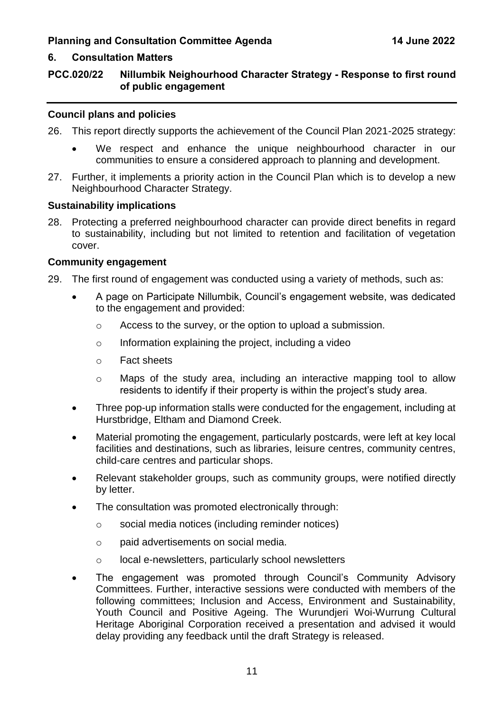#### **6. Consultation Matters**

#### **PCC.020/22 Nillumbik Neighourhood Character Strategy - Response to first round of public engagement**

#### **Council plans and policies**

- 26. This report directly supports the achievement of the Council Plan 2021-2025 strategy:
	- We respect and enhance the unique neighbourhood character in our communities to ensure a considered approach to planning and development.
- 27. Further, it implements a priority action in the Council Plan which is to develop a new Neighbourhood Character Strategy.

#### **Sustainability implications**

28. Protecting a preferred neighbourhood character can provide direct benefits in regard to sustainability, including but not limited to retention and facilitation of vegetation cover.

#### **Community engagement**

- 29. The first round of engagement was conducted using a variety of methods, such as:
	- A page on Participate Nillumbik, Council's engagement website, was dedicated to the engagement and provided:
		- o Access to the survey, or the option to upload a submission.
		- o Information explaining the project, including a video
		- o Fact sheets
		- o Maps of the study area, including an interactive mapping tool to allow residents to identify if their property is within the project's study area.
	- Three pop-up information stalls were conducted for the engagement, including at Hurstbridge, Eltham and Diamond Creek.
	- Material promoting the engagement, particularly postcards, were left at key local facilities and destinations, such as libraries, leisure centres, community centres, child-care centres and particular shops.
	- Relevant stakeholder groups, such as community groups, were notified directly by letter.
	- The consultation was promoted electronically through:
		- o social media notices (including reminder notices)
		- o paid advertisements on social media.
		- o local e-newsletters, particularly school newsletters
	- The engagement was promoted through Council's Community Advisory Committees. Further, interactive sessions were conducted with members of the following committees; Inclusion and Access, Environment and Sustainability, Youth Council and Positive Ageing. The Wurundjeri Woi-Wurrung Cultural Heritage Aboriginal Corporation received a presentation and advised it would delay providing any feedback until the draft Strategy is released.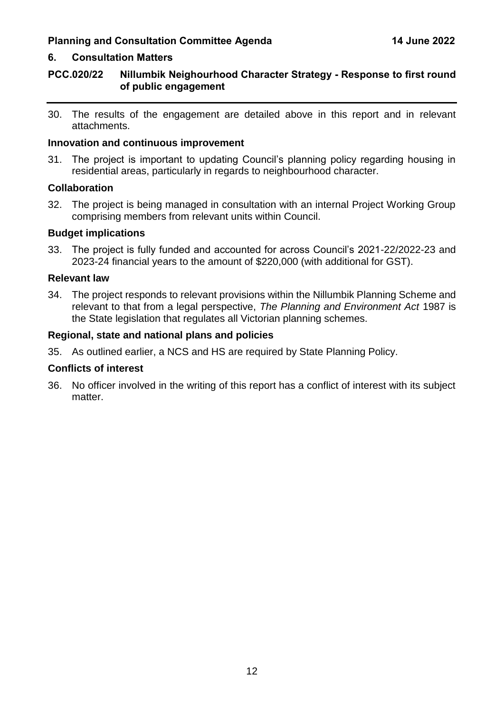#### **6. Consultation Matters**

#### **PCC.020/22 Nillumbik Neighourhood Character Strategy - Response to first round of public engagement**

30. The results of the engagement are detailed above in this report and in relevant attachments.

#### **Innovation and continuous improvement**

31. The project is important to updating Council's planning policy regarding housing in residential areas, particularly in regards to neighbourhood character.

#### **Collaboration**

32. The project is being managed in consultation with an internal Project Working Group comprising members from relevant units within Council.

#### **Budget implications**

33. The project is fully funded and accounted for across Council's 2021-22/2022-23 and 2023-24 financial years to the amount of \$220,000 (with additional for GST).

#### **Relevant law**

34. The project responds to relevant provisions within the Nillumbik Planning Scheme and relevant to that from a legal perspective, *The Planning and Environment Act* 1987 is the State legislation that regulates all Victorian planning schemes.

#### **Regional, state and national plans and policies**

35. As outlined earlier, a NCS and HS are required by State Planning Policy.

#### **Conflicts of interest**

36. No officer involved in the writing of this report has a conflict of interest with its subject matter.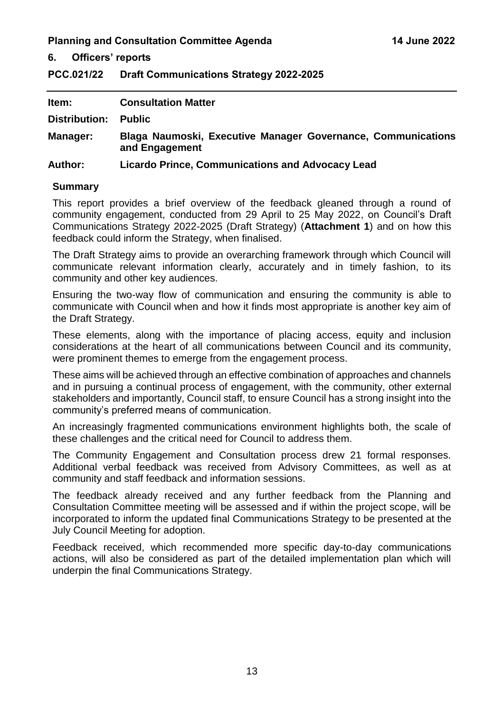#### **6. Officers' reports**

<span id="page-16-0"></span>**PCC.021/22 Draft Communications Strategy 2022-2025** 

| Item:          | <b>Consultation Matter</b>                                                     |
|----------------|--------------------------------------------------------------------------------|
| Distribution:  | <b>Public</b>                                                                  |
| Manager:       | Blaga Naumoski, Executive Manager Governance, Communications<br>and Engagement |
| <b>Author:</b> | <b>Licardo Prince, Communications and Advocacy Lead</b>                        |

#### **Summary**

This report provides a brief overview of the feedback gleaned through a round of community engagement, conducted from 29 April to 25 May 2022, on Council's Draft Communications Strategy 2022-2025 (Draft Strategy) (**Attachment 1**) and on how this feedback could inform the Strategy, when finalised.

The Draft Strategy aims to provide an overarching framework through which Council will communicate relevant information clearly, accurately and in timely fashion, to its community and other key audiences.

Ensuring the two-way flow of communication and ensuring the community is able to communicate with Council when and how it finds most appropriate is another key aim of the Draft Strategy.

These elements, along with the importance of placing access, equity and inclusion considerations at the heart of all communications between Council and its community, were prominent themes to emerge from the engagement process.

These aims will be achieved through an effective combination of approaches and channels and in pursuing a continual process of engagement, with the community, other external stakeholders and importantly, Council staff, to ensure Council has a strong insight into the community's preferred means of communication.

An increasingly fragmented communications environment highlights both, the scale of these challenges and the critical need for Council to address them.

The Community Engagement and Consultation process drew 21 formal responses. Additional verbal feedback was received from Advisory Committees, as well as at community and staff feedback and information sessions.

The feedback already received and any further feedback from the Planning and Consultation Committee meeting will be assessed and if within the project scope, will be incorporated to inform the updated final Communications Strategy to be presented at the July Council Meeting for adoption.

Feedback received, which recommended more specific day-to-day communications actions, will also be considered as part of the detailed implementation plan which will underpin the final Communications Strategy.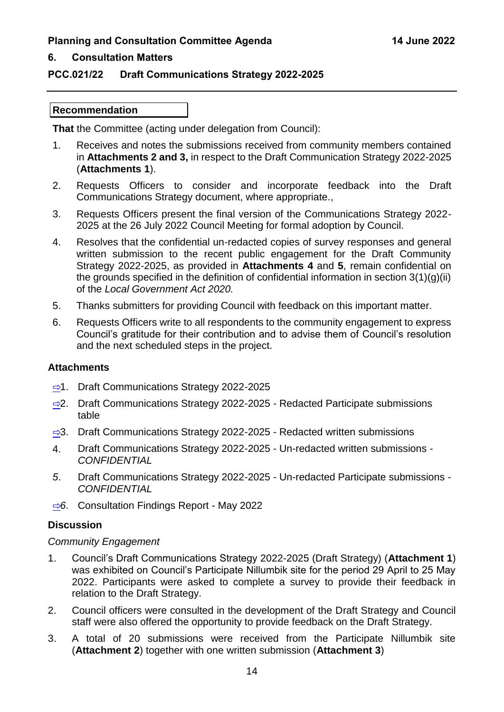#### **6. Consultation Matters**

#### **PCC.021/22 Draft Communications Strategy 2022-2025**

#### **Recommendation**

**That** the Committee (acting under delegation from Council):

- 1. Receives and notes the submissions received from community members contained in **Attachments 2 and 3,** in respect to the Draft Communication Strategy 2022-2025 (**Attachments 1**).
- 2. Requests Officers to consider and incorporate feedback into the Draft Communications Strategy document, where appropriate.,
- 3. Requests Officers present the final version of the Communications Strategy 2022- 2025 at the 26 July 2022 Council Meeting for formal adoption by Council.
- 4. Resolves that the confidential un-redacted copies of survey responses and general written submission to the recent public engagement for the Draft Community Strategy 2022-2025, as provided in **Attachments 4** and **5**, remain confidential on the grounds specified in the definition of confidential information in section 3(1)(g)(ii) of the *Local Government Act 2020.*
- 5. Thanks submitters for providing Council with feedback on this important matter.
- 6. Requests Officers write to all respondents to the community engagement to express Council's gratitude for their contribution and to advise them of Council's resolution and the next scheduled steps in the project.

#### **Attachments**

- [⇨](../../../RedirectToInvalidFileName.aspx?FileName=PCC_14062022_ATT_1193.PDF#PAGE=334)1. Draft Communications Strategy 2022-2025
- [⇨](../../../RedirectToInvalidFileName.aspx?FileName=PCC_14062022_ATT_1193.PDF#PAGE=356)2. Draft Communications Strategy 2022-2025 Redacted Participate submissions table
- [⇨](../../../RedirectToInvalidFileName.aspx?FileName=PCC_14062022_ATT_1193.PDF#PAGE=364)3. Draft Communications Strategy 2022-2025 Redacted written submissions
- 4. Draft Communications Strategy 2022-2025 Un-redacted written submissions *- CONFIDENTIAL*
- *5*. Draft Communications Strategy 2022-2025 Un-redacted Participate submissions *- CONFIDENTIAL*
- [⇨](../../../RedirectToInvalidFileName.aspx?FileName=PCC_14062022_ATT_1193.PDF#PAGE=370)*6*. Consultation Findings Report May 2022

#### **Discussion**

#### *Community Engagement*

- 1. Council's Draft Communications Strategy 2022-2025 (Draft Strategy) (**Attachment 1**) was exhibited on Council's Participate Nillumbik site for the period 29 April to 25 May 2022. Participants were asked to complete a survey to provide their feedback in relation to the Draft Strategy.
- 2. Council officers were consulted in the development of the Draft Strategy and Council staff were also offered the opportunity to provide feedback on the Draft Strategy.
- 3. A total of 20 submissions were received from the Participate Nillumbik site (**Attachment 2**) together with one written submission (**Attachment 3**)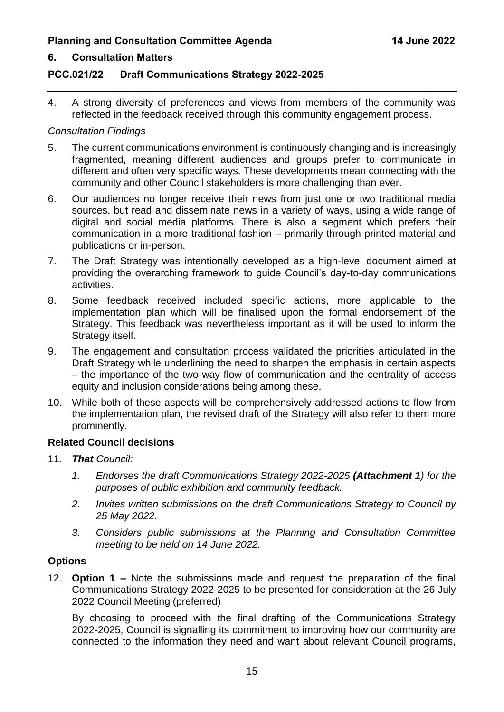#### **6. Consultation Matters**

#### **PCC.021/22 Draft Communications Strategy 2022-2025**

4. A strong diversity of preferences and views from members of the community was reflected in the feedback received through this community engagement process.

#### *Consultation Findings*

- 5. The current communications environment is continuously changing and is increasingly fragmented, meaning different audiences and groups prefer to communicate in different and often very specific ways. These developments mean connecting with the community and other Council stakeholders is more challenging than ever.
- 6. Our audiences no longer receive their news from just one or two traditional media sources, but read and disseminate news in a variety of ways, using a wide range of digital and social media platforms. There is also a segment which prefers their communication in a more traditional fashion – primarily through printed material and publications or in-person.
- 7. The Draft Strategy was intentionally developed as a high-level document aimed at providing the overarching framework to guide Council's day-to-day communications activities.
- 8. Some feedback received included specific actions, more applicable to the implementation plan which will be finalised upon the formal endorsement of the Strategy. This feedback was nevertheless important as it will be used to inform the Strategy itself.
- 9. The engagement and consultation process validated the priorities articulated in the Draft Strategy while underlining the need to sharpen the emphasis in certain aspects – the importance of the two-way flow of communication and the centrality of access equity and inclusion considerations being among these.
- 10. While both of these aspects will be comprehensively addressed actions to flow from the implementation plan, the revised draft of the Strategy will also refer to them more prominently.

#### **Related Council decisions**

- 11*. That Council:*
	- *1. Endorses the draft Communications Strategy 2022-2025 (Attachment 1) for the purposes of public exhibition and community feedback.*
	- *2. Invites written submissions on the draft Communications Strategy to Council by 25 May 2022.*
	- *3. Considers public submissions at the Planning and Consultation Committee meeting to be held on 14 June 2022.*

#### **Options**

12. **Option 1 –** Note the submissions made and request the preparation of the final Communications Strategy 2022-2025 to be presented for consideration at the 26 July 2022 Council Meeting (preferred)

By choosing to proceed with the final drafting of the Communications Strategy 2022-2025, Council is signalling its commitment to improving how our community are connected to the information they need and want about relevant Council programs,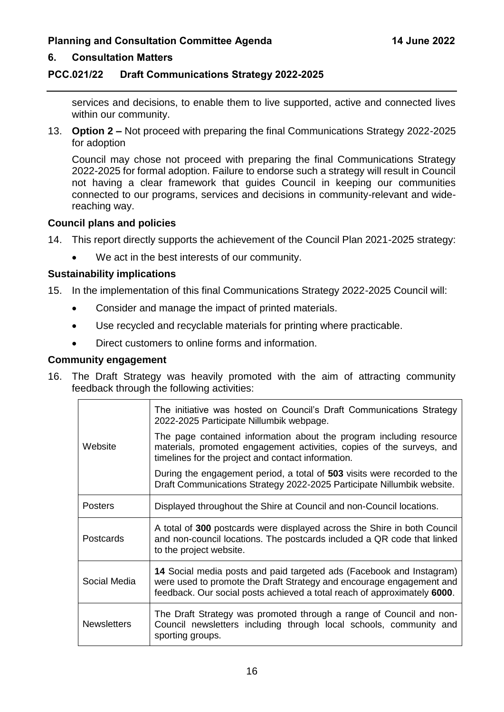#### **6. Consultation Matters**

#### **PCC.021/22 Draft Communications Strategy 2022-2025**

services and decisions, to enable them to live supported, active and connected lives within our community.

13. **Option 2 –** Not proceed with preparing the final Communications Strategy 2022-2025 for adoption

Council may chose not proceed with preparing the final Communications Strategy 2022-2025 for formal adoption. Failure to endorse such a strategy will result in Council not having a clear framework that guides Council in keeping our communities connected to our programs, services and decisions in community-relevant and widereaching way.

#### **Council plans and policies**

- 14. This report directly supports the achievement of the Council Plan 2021-2025 strategy:
	- We act in the best interests of our community.

#### **Sustainability implications**

- 15. In the implementation of this final Communications Strategy 2022-2025 Council will:
	- Consider and manage the impact of printed materials.
	- Use recycled and recyclable materials for printing where practicable.
	- Direct customers to online forms and information.

#### **Community engagement**

16. The Draft Strategy was heavily promoted with the aim of attracting community feedback through the following activities:

|                    | The initiative was hosted on Council's Draft Communications Strategy<br>2022-2025 Participate Nillumbik webpage.                                                                                                         |
|--------------------|--------------------------------------------------------------------------------------------------------------------------------------------------------------------------------------------------------------------------|
| Website            | The page contained information about the program including resource<br>materials, promoted engagement activities, copies of the surveys, and<br>timelines for the project and contact information.                       |
|                    | During the engagement period, a total of 503 visits were recorded to the<br>Draft Communications Strategy 2022-2025 Participate Nillumbik website.                                                                       |
| <b>Posters</b>     | Displayed throughout the Shire at Council and non-Council locations.                                                                                                                                                     |
| <b>Postcards</b>   | A total of 300 postcards were displayed across the Shire in both Council<br>and non-council locations. The postcards included a QR code that linked<br>to the project website.                                           |
| Social Media       | 14 Social media posts and paid targeted ads (Facebook and Instagram)<br>were used to promote the Draft Strategy and encourage engagement and<br>feedback. Our social posts achieved a total reach of approximately 6000. |
| <b>Newsletters</b> | The Draft Strategy was promoted through a range of Council and non-<br>Council newsletters including through local schools, community and<br>sporting groups.                                                            |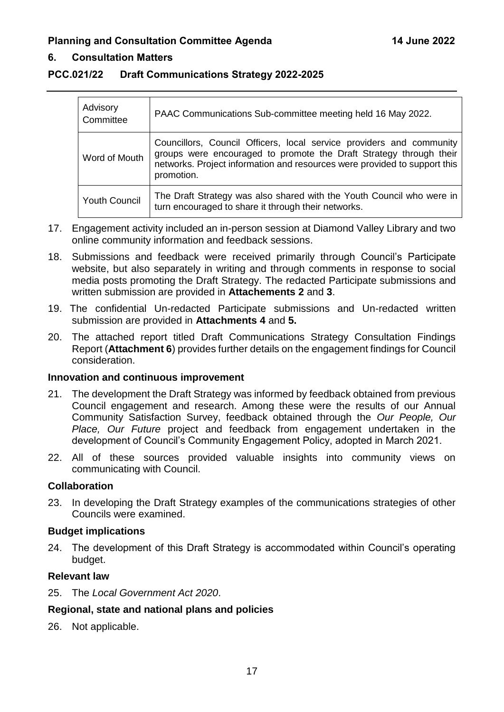#### **6. Consultation Matters**

#### **PCC.021/22 Draft Communications Strategy 2022-2025**

| Advisory<br>Committee | PAAC Communications Sub-committee meeting held 16 May 2022.                                                                                                                                                                           |
|-----------------------|---------------------------------------------------------------------------------------------------------------------------------------------------------------------------------------------------------------------------------------|
| Word of Mouth         | Councillors, Council Officers, local service providers and community<br>groups were encouraged to promote the Draft Strategy through their<br>networks. Project information and resources were provided to support this<br>promotion. |
| <b>Youth Council</b>  | The Draft Strategy was also shared with the Youth Council who were in<br>turn encouraged to share it through their networks.                                                                                                          |

- 17. Engagement activity included an in-person session at Diamond Valley Library and two online community information and feedback sessions.
- 18. Submissions and feedback were received primarily through Council's Participate website, but also separately in writing and through comments in response to social media posts promoting the Draft Strategy. The redacted Participate submissions and written submission are provided in **Attachements 2** and **3**.
- 19. The confidential Un-redacted Participate submissions and Un-redacted written submission are provided in **Attachments 4** and **5.**
- 20. The attached report titled Draft Communications Strategy Consultation Findings Report (**Attachment 6**) provides further details on the engagement findings for Council consideration.

#### **Innovation and continuous improvement**

- 21. The development the Draft Strategy was informed by feedback obtained from previous Council engagement and research. Among these were the results of our Annual Community Satisfaction Survey, feedback obtained through the *Our People, Our Place, Our Future* project and feedback from engagement undertaken in the development of Council's Community Engagement Policy, adopted in March 2021.
- 22. All of these sources provided valuable insights into community views on communicating with Council.

#### **Collaboration**

23. In developing the Draft Strategy examples of the communications strategies of other Councils were examined.

#### **Budget implications**

24. The development of this Draft Strategy is accommodated within Council's operating budget.

#### **Relevant law**

25. The *Local Government Act 2020*.

#### **Regional, state and national plans and policies**

26. Not applicable.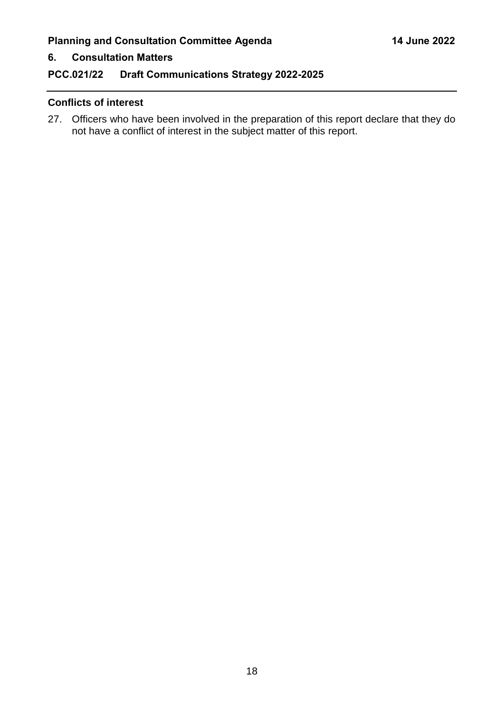#### **6. Consultation Matters**

#### **PCC.021/22 Draft Communications Strategy 2022-2025**

#### **Conflicts of interest**

27. Officers who have been involved in the preparation of this report declare that they do not have a conflict of interest in the subject matter of this report.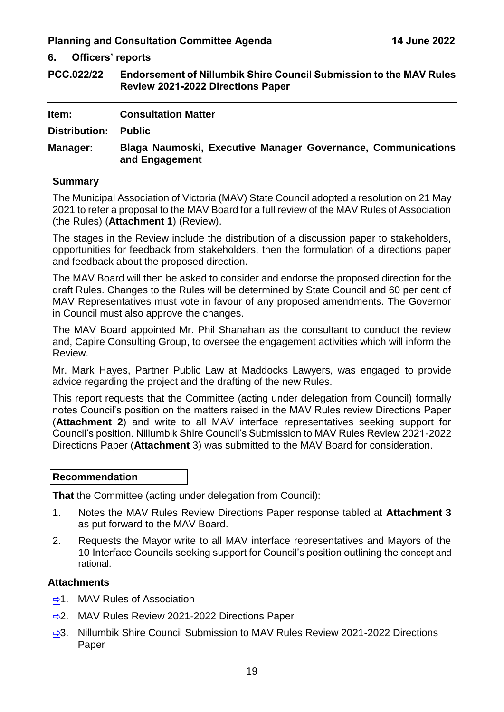**6. Officers' reports**

<span id="page-22-0"></span>**PCC.022/22 Endorsement of Nillumbik Shire Council Submission to the MAV Rules Review 2021-2022 Directions Paper**

| Item:         | <b>Consultation Matter</b>                                                     |
|---------------|--------------------------------------------------------------------------------|
| Distribution: | <b>Public</b>                                                                  |
| Manager:      | Blaga Naumoski, Executive Manager Governance, Communications<br>and Engagement |

#### **Summary**

The Municipal Association of Victoria (MAV) State Council adopted a resolution on 21 May 2021 to refer a proposal to the MAV Board for a full review of the MAV Rules of Association (the Rules) (**Attachment 1**) (Review).

The stages in the Review include the distribution of a discussion paper to stakeholders, opportunities for feedback from stakeholders, then the formulation of a directions paper and feedback about the proposed direction.

The MAV Board will then be asked to consider and endorse the proposed direction for the draft Rules. Changes to the Rules will be determined by State Council and 60 per cent of MAV Representatives must vote in favour of any proposed amendments. The Governor in Council must also approve the changes.

The MAV Board appointed Mr. Phil Shanahan as the consultant to conduct the review and, Capire Consulting Group, to oversee the engagement activities which will inform the Review.

Mr. Mark Hayes, Partner Public Law at Maddocks Lawyers, was engaged to provide advice regarding the project and the drafting of the new Rules.

This report requests that the Committee (acting under delegation from Council) formally notes Council's position on the matters raised in the MAV Rules review Directions Paper (**Attachment 2**) and write to all MAV interface representatives seeking support for Council's position. Nillumbik Shire Council's Submission to MAV Rules Review 2021-2022 Directions Paper (**Attachment** 3) was submitted to the MAV Board for consideration.

#### **Recommendation**

**That** the Committee (acting under delegation from Council):

- 1. Notes the MAV Rules Review Directions Paper response tabled at **Attachment 3**  as put forward to the MAV Board.
- 2. Requests the Mayor write to all MAV interface representatives and Mayors of the 10 Interface Councils seeking support for Council's position outlining the concept and rational.

#### **Attachments**

- [⇨](../../../RedirectToInvalidFileName.aspx?FileName=PCC_14062022_ATT_1193.PDF#PAGE=378)1. MAV Rules of Association
- [⇨](../../../RedirectToInvalidFileName.aspx?FileName=PCC_14062022_ATT_1193.PDF#PAGE=406)2. MAV Rules Review 2021-2022 Directions Paper
- [⇨](../../../RedirectToInvalidFileName.aspx?FileName=PCC_14062022_ATT_1193.PDF#PAGE=430)3. Nillumbik Shire Council Submission to MAV Rules Review 2021-2022 Directions Paper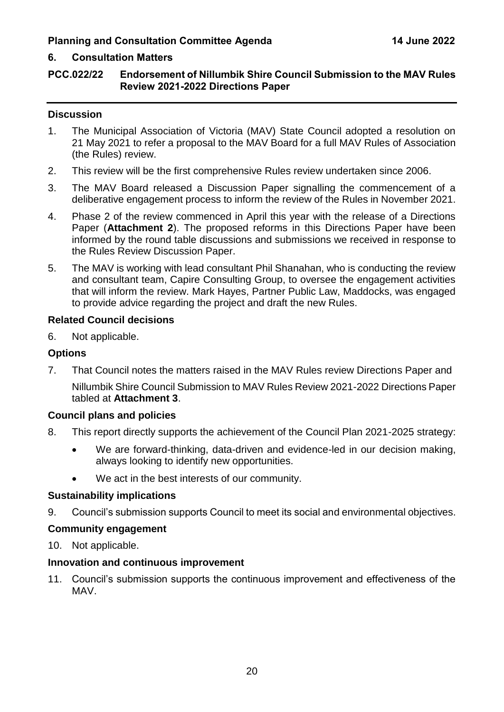#### **6. Consultation Matters**

#### **PCC.022/22 Endorsement of Nillumbik Shire Council Submission to the MAV Rules Review 2021-2022 Directions Paper**

#### **Discussion**

- 1. The Municipal Association of Victoria (MAV) State Council adopted a resolution on 21 May 2021 to refer a proposal to the MAV Board for a full MAV Rules of Association (the Rules) review.
- 2. This review will be the first comprehensive Rules review undertaken since 2006.
- 3. The MAV Board released a Discussion Paper signalling the commencement of a deliberative engagement process to inform the review of the Rules in November 2021.
- 4. Phase 2 of the review commenced in April this year with the release of a Directions Paper (**Attachment 2**). The proposed reforms in this Directions Paper have been informed by the round table discussions and submissions we received in response to the Rules Review Discussion Paper.
- 5. The MAV is working with lead consultant Phil Shanahan, who is conducting the review and consultant team, Capire Consulting Group, to oversee the engagement activities that will inform the review. Mark Hayes, Partner Public Law, Maddocks, was engaged to provide advice regarding the project and draft the new Rules.

#### **Related Council decisions**

6. Not applicable.

#### **Options**

7. That Council notes the matters raised in the MAV Rules review Directions Paper and Nillumbik Shire Council Submission to MAV Rules Review 2021-2022 Directions Paper tabled at **Attachment 3**.

#### **Council plans and policies**

- 8. This report directly supports the achievement of the Council Plan 2021-2025 strategy:
	- We are forward-thinking, data-driven and evidence-led in our decision making, always looking to identify new opportunities.
	- We act in the best interests of our community.

#### **Sustainability implications**

9. Council's submission supports Council to meet its social and environmental objectives.

#### **Community engagement**

10. Not applicable.

#### **Innovation and continuous improvement**

11. Council's submission supports the continuous improvement and effectiveness of the MAV.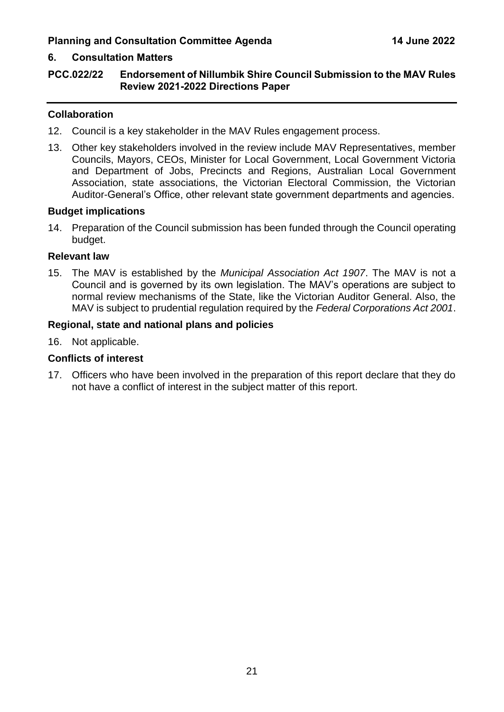#### **6. Consultation Matters**

#### **PCC.022/22 Endorsement of Nillumbik Shire Council Submission to the MAV Rules Review 2021-2022 Directions Paper**

#### **Collaboration**

- 12. Council is a key stakeholder in the MAV Rules engagement process.
- 13. Other key stakeholders involved in the review include MAV Representatives, member Councils, Mayors, CEOs, Minister for Local Government, Local Government Victoria and Department of Jobs, Precincts and Regions, Australian Local Government Association, state associations, the Victorian Electoral Commission, the Victorian Auditor-General's Office, other relevant state government departments and agencies.

#### **Budget implications**

14. Preparation of the Council submission has been funded through the Council operating budget.

#### **Relevant law**

15. The MAV is established by the *Municipal Association Act 1907*. The MAV is not a Council and is governed by its own legislation. The MAV's operations are subject to normal review mechanisms of the State, like the Victorian Auditor General. Also, the MAV is subject to prudential regulation required by the *Federal Corporations Act 2001*.

#### **Regional, state and national plans and policies**

16. Not applicable.

#### **Conflicts of interest**

17. Officers who have been involved in the preparation of this report declare that they do not have a conflict of interest in the subject matter of this report.